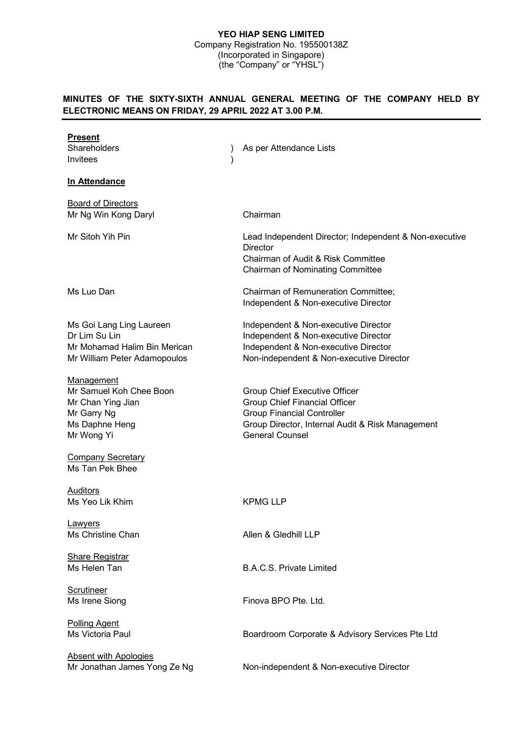#### **YEO HIAP SENG LIMITED** Company Registration No. 195500138Z (Incorporated in Singapore) (the "Company" or "YHSL")

# **MINUTES OF THE SIXTY-SIXTH ANNUAL GENERAL MEETING OF THE COMPANY HELD BY ELECTRONIC MEANS ON FRIDAY, 29 APRIL 2022 AT 3.00 P.M.**

| <b>Present</b><br>Shareholders<br>Invitees                                                                | As per Attendance Lists                                                                                                                                                                  |
|-----------------------------------------------------------------------------------------------------------|------------------------------------------------------------------------------------------------------------------------------------------------------------------------------------------|
| In Attendance                                                                                             |                                                                                                                                                                                          |
| <b>Board of Directors</b><br>Mr Ng Win Kong Daryl                                                         | Chairman                                                                                                                                                                                 |
| Mr Sitoh Yih Pin                                                                                          | Lead Independent Director; Independent & Non-executive<br><b>Director</b><br>Chairman of Audit & Risk Committee<br><b>Chairman of Nominating Committee</b>                               |
| Ms Luo Dan                                                                                                | Chairman of Remuneration Committee;<br>Independent & Non-executive Director                                                                                                              |
| Ms Goi Lang Ling Laureen<br>Dr Lim Su Lin<br>Mr Mohamad Halim Bin Merican<br>Mr William Peter Adamopoulos | Independent & Non-executive Director<br>Independent & Non-executive Director<br>Independent & Non-executive Director<br>Non-independent & Non-executive Director                         |
| Management<br>Mr Samuel Koh Chee Boon<br>Mr Chan Ying Jian<br>Mr Garry Ng<br>Ms Daphne Heng<br>Mr Wong Yi | Group Chief Executive Officer<br><b>Group Chief Financial Officer</b><br><b>Group Financial Controller</b><br>Group Director, Internal Audit & Risk Management<br><b>General Counsel</b> |
| <b>Company Secretary</b><br>Ms Tan Pek Bhee                                                               |                                                                                                                                                                                          |
| Auditors<br>Ms Yeo Lik Khim                                                                               | <b>KPMG LLP</b>                                                                                                                                                                          |
| <b>Lawyers</b><br>Ms Christine Chan                                                                       | Allen & Gledhill LLP                                                                                                                                                                     |
| <b>Share Registrar</b><br>Ms Helen Tan                                                                    | <b>B.A.C.S. Private Limited</b>                                                                                                                                                          |
| <b>Scrutineer</b><br>Ms Irene Siong                                                                       | Finova BPO Pte. Ltd.                                                                                                                                                                     |
| <b>Polling Agent</b><br>Ms Victoria Paul                                                                  | Boardroom Corporate & Advisory Services Pte Ltd                                                                                                                                          |
| <b>Absent with Apologies</b><br>Mr Jonathan James Yong Ze Ng                                              | Non-independent & Non-executive Director                                                                                                                                                 |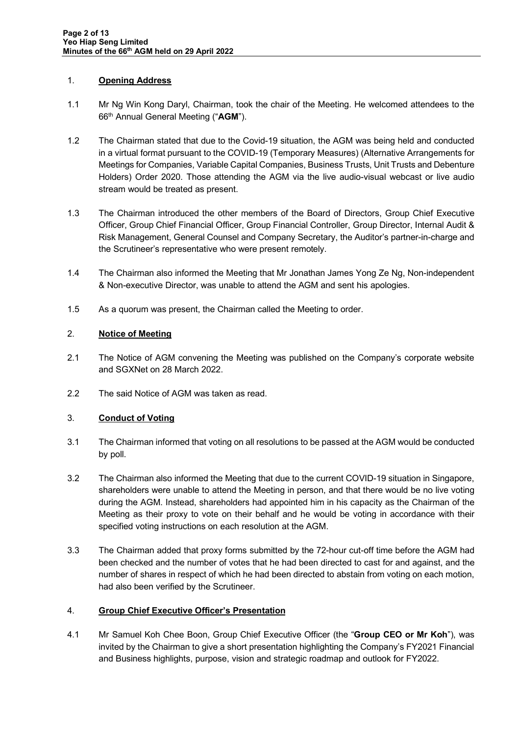### 1. **Opening Address**

- 1.1 Mr Ng Win Kong Daryl, Chairman, took the chair of the Meeting. He welcomed attendees to the 66th Annual General Meeting ("**AGM**").
- 1.2 The Chairman stated that due to the Covid-19 situation, the AGM was being held and conducted in a virtual format pursuant to the COVID-19 (Temporary Measures) (Alternative Arrangements for Meetings for Companies, Variable Capital Companies, Business Trusts, Unit Trusts and Debenture Holders) Order 2020. Those attending the AGM via the live audio-visual webcast or live audio stream would be treated as present.
- 1.3 The Chairman introduced the other members of the Board of Directors, Group Chief Executive Officer, Group Chief Financial Officer, Group Financial Controller, Group Director, Internal Audit & Risk Management, General Counsel and Company Secretary, the Auditor's partner-in-charge and the Scrutineer's representative who were present remotely.
- 1.4 The Chairman also informed the Meeting that Mr Jonathan James Yong Ze Ng, Non-independent & Non-executive Director, was unable to attend the AGM and sent his apologies.
- 1.5 As a quorum was present, the Chairman called the Meeting to order.

### 2. **Notice of Meeting**

- 2.1 The Notice of AGM convening the Meeting was published on the Company's corporate website and SGXNet on 28 March 2022.
- 2.2 The said Notice of AGM was taken as read.

# 3. **Conduct of Voting**

- 3.1 The Chairman informed that voting on all resolutions to be passed at the AGM would be conducted by poll.
- 3.2 The Chairman also informed the Meeting that due to the current COVID-19 situation in Singapore, shareholders were unable to attend the Meeting in person, and that there would be no live voting during the AGM. Instead, shareholders had appointed him in his capacity as the Chairman of the Meeting as their proxy to vote on their behalf and he would be voting in accordance with their specified voting instructions on each resolution at the AGM.
- 3.3 The Chairman added that proxy forms submitted by the 72-hour cut-off time before the AGM had been checked and the number of votes that he had been directed to cast for and against, and the number of shares in respect of which he had been directed to abstain from voting on each motion, had also been verified by the Scrutineer.

# 4. **Group Chief Executive Officer's Presentation**

4.1 Mr Samuel Koh Chee Boon, Group Chief Executive Officer (the "**Group CEO or Mr Koh**"), was invited by the Chairman to give a short presentation highlighting the Company's FY2021 Financial and Business highlights, purpose, vision and strategic roadmap and outlook for FY2022.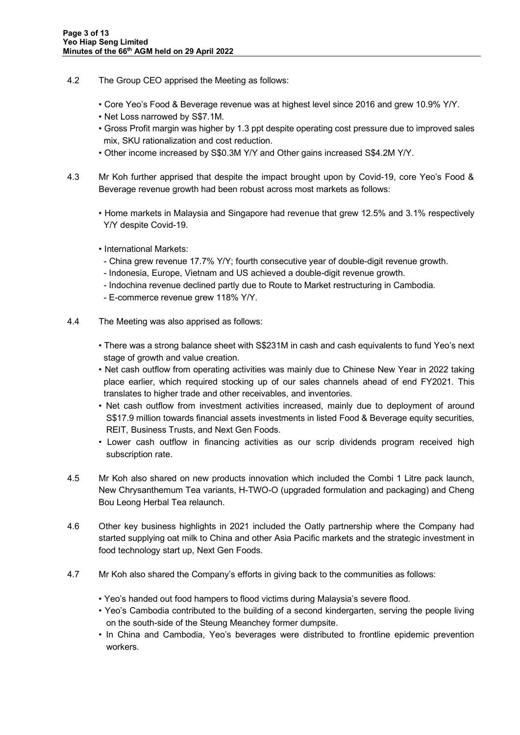- 4.2 The Group CEO apprised the Meeting as follows:
	- Core Yeo's Food & Beverage revenue was at highest level since 2016 and grew 10.9% Y/Y.
	- Net Loss narrowed by S\$7.1M.
	- Gross Profit margin was higher by 1.3 ppt despite operating cost pressure due to improved sales mix, SKU rationalization and cost reduction.
	- Other income increased by S\$0.3M Y/Y and Other gains increased S\$4.2M Y/Y.
- 4.3 Mr Koh further apprised that despite the impact brought upon by Covid-19, core Yeo's Food & Beverage revenue growth had been robust across most markets as follows:
	- Home markets in Malaysia and Singapore had revenue that grew 12.5% and 3.1% respectively Y/Y despite Covid-19.
	- International Markets:
	- China grew revenue 17.7% Y/Y; fourth consecutive year of double-digit revenue growth.
	- Indonesia, Europe, Vietnam and US achieved a double-digit revenue growth.
	- Indochina revenue declined partly due to Route to Market restructuring in Cambodia.
	- E-commerce revenue grew 118% Y/Y.
- 4.4 The Meeting was also apprised as follows:
	- There was a strong balance sheet with S\$231M in cash and cash equivalents to fund Yeo's next stage of growth and value creation.
	- Net cash outflow from operating activities was mainly due to Chinese New Year in 2022 taking place earlier, which required stocking up of our sales channels ahead of end FY2021. This translates to higher trade and other receivables, and inventories.
	- Net cash outflow from investment activities increased, mainly due to deployment of around S\$17.9 million towards financial assets investments in listed Food & Beverage equity securities, REIT, Business Trusts, and Next Gen Foods.
	- Lower cash outflow in financing activities as our scrip dividends program received high subscription rate.
- 4.5 Mr Koh also shared on new products innovation which included the Combi 1 Litre pack launch, New Chrysanthemum Tea variants, H-TWO-O (upgraded formulation and packaging) and Cheng Bou Leong Herbal Tea relaunch.
- 4.6 Other key business highlights in 2021 included the Oatly partnership where the Company had started supplying oat milk to China and other Asia Pacific markets and the strategic investment in food technology start up, Next Gen Foods.
- 4.7 Mr Koh also shared the Company's efforts in giving back to the communities as follows:
	- Yeo's handed out food hampers to flood victims during Malaysia's severe flood.
	- Yeo's Cambodia contributed to the building of a second kindergarten, serving the people living on the south-side of the Steung Meanchey former dumpsite.
	- In China and Cambodia, Yeo's beverages were distributed to frontline epidemic prevention workers.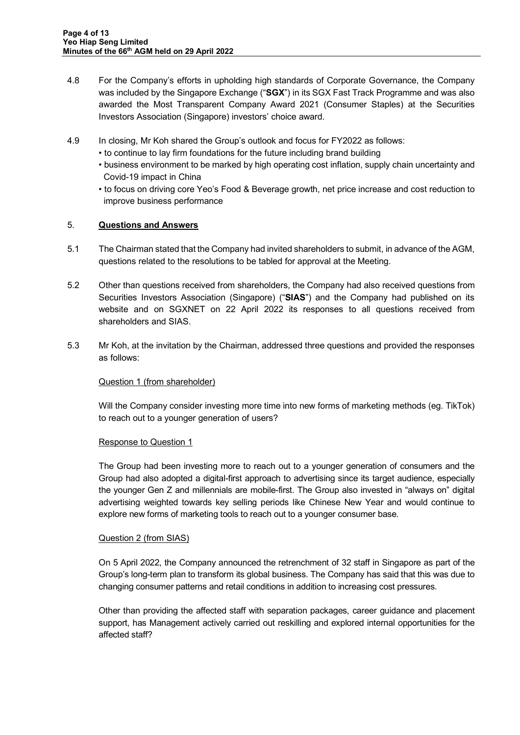- 4.8 For the Company's efforts in upholding high standards of Corporate Governance, the Company was included by the Singapore Exchange ("**SGX**") in its SGX Fast Track Programme and was also awarded the Most Transparent Company Award 2021 (Consumer Staples) at the Securities Investors Association (Singapore) investors' choice award.
- 4.9 In closing, Mr Koh shared the Group's outlook and focus for FY2022 as follows:
	- to continue to lay firm foundations for the future including brand building
	- business environment to be marked by high operating cost inflation, supply chain uncertainty and Covid-19 impact in China
	- to focus on driving core Yeo's Food & Beverage growth, net price increase and cost reduction to improve business performance

### 5. **Questions and Answers**

- 5.1 The Chairman stated that the Company had invited shareholders to submit, in advance of the AGM, questions related to the resolutions to be tabled for approval at the Meeting.
- 5.2 Other than questions received from shareholders, the Company had also received questions from Securities Investors Association (Singapore) ("**SIAS**") and the Company had published on its website and on SGXNET on 22 April 2022 its responses to all questions received from shareholders and SIAS.
- 5.3 Mr Koh, at the invitation by the Chairman, addressed three questions and provided the responses as follows:

# Question 1 (from shareholder)

Will the Company consider investing more time into new forms of marketing methods (eg. TikTok) to reach out to a younger generation of users?

#### Response to Question 1

The Group had been investing more to reach out to a younger generation of consumers and the Group had also adopted a digital-first approach to advertising since its target audience, especially the younger Gen Z and millennials are mobile-first. The Group also invested in "always on" digital advertising weighted towards key selling periods like Chinese New Year and would continue to explore new forms of marketing tools to reach out to a younger consumer base.

#### Question 2 (from SIAS)

On 5 April 2022, the Company announced the retrenchment of 32 staff in Singapore as part of the Group's long-term plan to transform its global business. The Company has said that this was due to changing consumer patterns and retail conditions in addition to increasing cost pressures.

Other than providing the affected staff with separation packages, career guidance and placement support, has Management actively carried out reskilling and explored internal opportunities for the affected staff?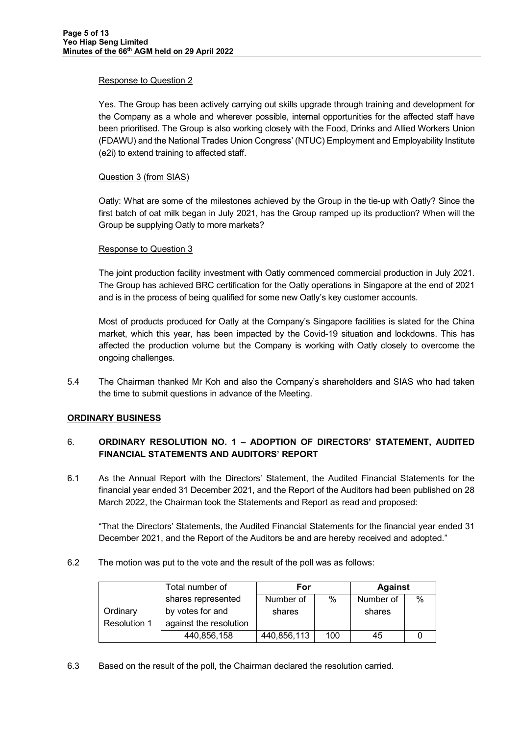#### Response to Question 2

Yes. The Group has been actively carrying out skills upgrade through training and development for the Company as a whole and wherever possible, internal opportunities for the affected staff have been prioritised. The Group is also working closely with the Food, Drinks and Allied Workers Union (FDAWU) and the National Trades Union Congress' (NTUC) Employment and Employability Institute (e2i) to extend training to affected staff.

#### Question 3 (from SIAS)

Oatly: What are some of the milestones achieved by the Group in the tie-up with Oatly? Since the first batch of oat milk began in July 2021, has the Group ramped up its production? When will the Group be supplying Oatly to more markets?

#### Response to Question 3

The joint production facility investment with Oatly commenced commercial production in July 2021. The Group has achieved BRC certification for the Oatly operations in Singapore at the end of 2021 and is in the process of being qualified for some new Oatly's key customer accounts.

Most of products produced for Oatly at the Company's Singapore facilities is slated for the China market, which this year, has been impacted by the Covid-19 situation and lockdowns. This has affected the production volume but the Company is working with Oatly closely to overcome the ongoing challenges.

5.4 The Chairman thanked Mr Koh and also the Company's shareholders and SIAS who had taken the time to submit questions in advance of the Meeting.

#### **ORDINARY BUSINESS**

# 6. **ORDINARY RESOLUTION NO. 1 – ADOPTION OF DIRECTORS' STATEMENT, AUDITED FINANCIAL STATEMENTS AND AUDITORS' REPORT**

6.1 As the Annual Report with the Directors' Statement, the Audited Financial Statements for the financial year ended 31 December 2021, and the Report of the Auditors had been published on 28 March 2022, the Chairman took the Statements and Report as read and proposed:

"That the Directors' Statements, the Audited Financial Statements for the financial year ended 31 December 2021, and the Report of the Auditors be and are hereby received and adopted."

#### 6.2 The motion was put to the vote and the result of the poll was as follows:

|              | Total number of        | For         |      | <b>Against</b> |   |
|--------------|------------------------|-------------|------|----------------|---|
|              | shares represented     | Number of   | $\%$ | Number of      | % |
| Ordinary     | by votes for and       | shares      |      | shares         |   |
| Resolution 1 | against the resolution |             |      |                |   |
|              | 440,856,158            | 440,856,113 | 100  | 45             |   |

6.3 Based on the result of the poll, the Chairman declared the resolution carried.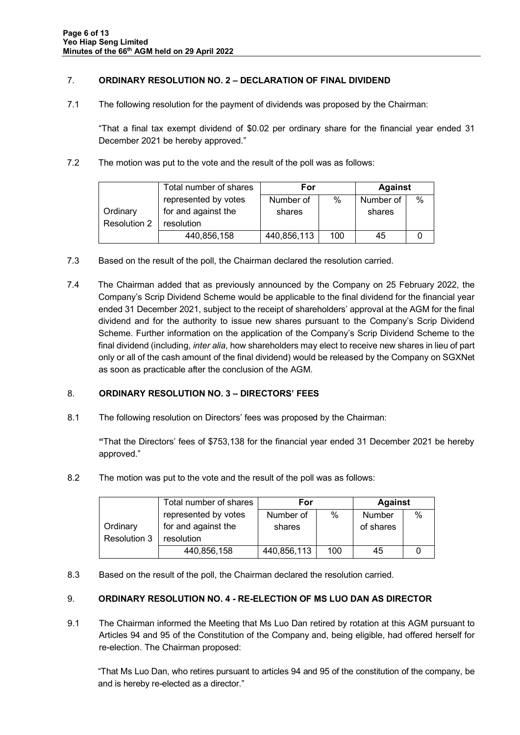### 7. **ORDINARY RESOLUTION NO. 2 – DECLARATION OF FINAL DIVIDEND**

7.1 The following resolution for the payment of dividends was proposed by the Chairman:

"That a final tax exempt dividend of \$0.02 per ordinary share for the financial year ended 31 December 2021 be hereby approved."

7.2 The motion was put to the vote and the result of the poll was as follows:

|              | Total number of shares | For         |      | <b>Against</b> |   |
|--------------|------------------------|-------------|------|----------------|---|
|              | represented by votes   | Number of   | $\%$ | Number of      | % |
| Ordinary     | for and against the    | shares      |      | shares         |   |
| Resolution 2 | resolution             |             |      |                |   |
|              | 440,856,158            | 440,856,113 | 100  | 45             |   |

- 7.3 Based on the result of the poll, the Chairman declared the resolution carried.
- 7.4 The Chairman added that as previously announced by the Company on 25 February 2022, the Company's Scrip Dividend Scheme would be applicable to the final dividend for the financial year ended 31 December 2021, subject to the receipt of shareholders' approval at the AGM for the final dividend and for the authority to issue new shares pursuant to the Company's Scrip Dividend Scheme. Further information on the application of the Company's Scrip Dividend Scheme to the final dividend (including, *inter alia*, how shareholders may elect to receive new shares in lieu of part only or all of the cash amount of the final dividend) would be released by the Company on SGXNet as soon as practicable after the conclusion of the AGM.

#### 8. **ORDINARY RESOLUTION NO. 3 – DIRECTORS' FEES**

8.1 The following resolution on Directors' fees was proposed by the Chairman:

**"**That the Directors' fees of \$753,138 for the financial year ended 31 December 2021 be hereby approved."

8.2 The motion was put to the vote and the result of the poll was as follows:

|              | Total number of shares | For         |      | <b>Against</b> |      |
|--------------|------------------------|-------------|------|----------------|------|
|              | represented by votes   | Number of   | $\%$ | Number         | $\%$ |
| Ordinary     | for and against the    | shares      |      | of shares      |      |
| Resolution 3 | resolution             |             |      |                |      |
|              | 440,856,158            | 440,856,113 | 100  | 45             |      |

8.3 Based on the result of the poll, the Chairman declared the resolution carried.

#### 9. **ORDINARY RESOLUTION NO. 4 - RE-ELECTION OF MS LUO DAN AS DIRECTOR**

9.1 The Chairman informed the Meeting that Ms Luo Dan retired by rotation at this AGM pursuant to Articles 94 and 95 of the Constitution of the Company and, being eligible, had offered herself for re-election. The Chairman proposed:

"That Ms Luo Dan, who retires pursuant to articles 94 and 95 of the constitution of the company, be and is hereby re-elected as a director."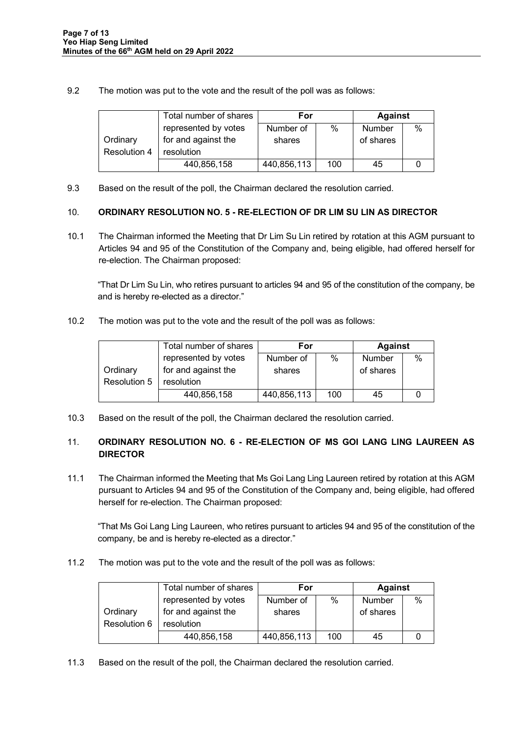9.2 The motion was put to the vote and the result of the poll was as follows:

|              | Total number of shares | For         |      | <b>Against</b> |      |
|--------------|------------------------|-------------|------|----------------|------|
|              | represented by votes   | Number of   | $\%$ | Number         | $\%$ |
| Ordinary     | for and against the    | shares      |      | of shares      |      |
| Resolution 4 | resolution             |             |      |                |      |
|              | 440,856,158            | 440,856,113 | 100  | 45             |      |

9.3 Based on the result of the poll, the Chairman declared the resolution carried.

### 10. **ORDINARY RESOLUTION NO. 5 - RE-ELECTION OF DR LIM SU LIN AS DIRECTOR**

10.1 The Chairman informed the Meeting that Dr Lim Su Lin retired by rotation at this AGM pursuant to Articles 94 and 95 of the Constitution of the Company and, being eligible, had offered herself for re-election. The Chairman proposed:

"That Dr Lim Su Lin, who retires pursuant to articles 94 and 95 of the constitution of the company, be and is hereby re-elected as a director."

10.2 The motion was put to the vote and the result of the poll was as follows:

|              | Total number of shares | For         |      | <b>Against</b> |      |
|--------------|------------------------|-------------|------|----------------|------|
|              | represented by votes   | Number of   | $\%$ | Number         | $\%$ |
| Ordinary     | for and against the    | shares      |      | of shares      |      |
| Resolution 5 | resolution             |             |      |                |      |
|              | 440,856,158            | 440,856,113 | 100  | 45             |      |

10.3 Based on the result of the poll, the Chairman declared the resolution carried.

# 11. **ORDINARY RESOLUTION NO. 6 - RE-ELECTION OF MS GOI LANG LING LAUREEN AS DIRECTOR**

11.1 The Chairman informed the Meeting that Ms Goi Lang Ling Laureen retired by rotation at this AGM pursuant to Articles 94 and 95 of the Constitution of the Company and, being eligible, had offered herself for re-election. The Chairman proposed:

"That Ms Goi Lang Ling Laureen, who retires pursuant to articles 94 and 95 of the constitution of the company, be and is hereby re-elected as a director."

11.2 The motion was put to the vote and the result of the poll was as follows:

|              | Total number of shares | For         |      | <b>Against</b> |      |
|--------------|------------------------|-------------|------|----------------|------|
|              | represented by votes   | Number of   | $\%$ | <b>Number</b>  | $\%$ |
| Ordinary     | for and against the    | shares      |      | of shares      |      |
| Resolution 6 | resolution             |             |      |                |      |
|              | 440,856,158            | 440,856,113 | 100  | 45             |      |

11.3 Based on the result of the poll, the Chairman declared the resolution carried.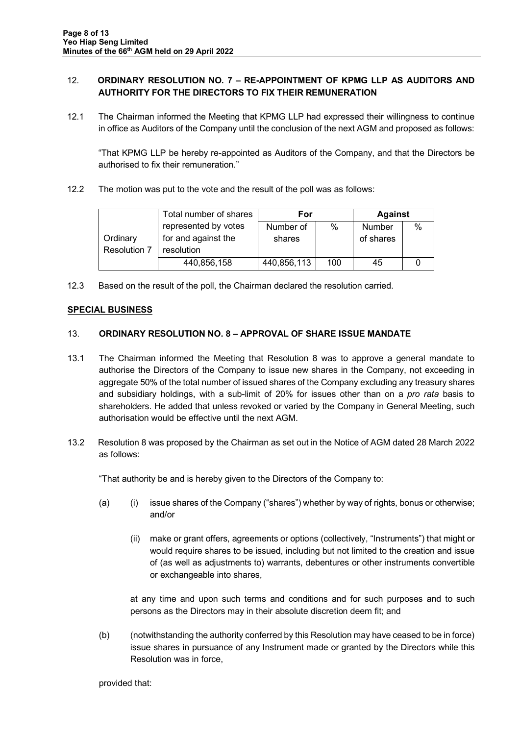### 12. **ORDINARY RESOLUTION NO. 7 – RE-APPOINTMENT OF KPMG LLP AS AUDITORS AND AUTHORITY FOR THE DIRECTORS TO FIX THEIR REMUNERATION**

12.1 The Chairman informed the Meeting that KPMG LLP had expressed their willingness to continue in office as Auditors of the Company until the conclusion of the next AGM and proposed as follows:

"That KPMG LLP be hereby re-appointed as Auditors of the Company, and that the Directors be authorised to fix their remuneration."

12.2 The motion was put to the vote and the result of the poll was as follows:

|                     | Total number of shares | For         |      | <b>Against</b> |               |
|---------------------|------------------------|-------------|------|----------------|---------------|
|                     | represented by votes   | Number of   | $\%$ | <b>Number</b>  | $\frac{0}{0}$ |
| Ordinary            | for and against the    | shares      |      | of shares      |               |
| <b>Resolution 7</b> | resolution             |             |      |                |               |
|                     | 440,856,158            | 440,856,113 | 100  | 45             |               |

12.3 Based on the result of the poll, the Chairman declared the resolution carried.

### **SPECIAL BUSINESS**

### 13. **ORDINARY RESOLUTION NO. 8 – APPROVAL OF SHARE ISSUE MANDATE**

- 13.1 The Chairman informed the Meeting that Resolution 8 was to approve a general mandate to authorise the Directors of the Company to issue new shares in the Company, not exceeding in aggregate 50% of the total number of issued shares of the Company excluding any treasury shares and subsidiary holdings, with a sub-limit of 20% for issues other than on a *pro rata* basis to shareholders. He added that unless revoked or varied by the Company in General Meeting, such authorisation would be effective until the next AGM.
- 13.2 Resolution 8 was proposed by the Chairman as set out in the Notice of AGM dated 28 March 2022 as follows:

"That authority be and is hereby given to the Directors of the Company to:

- (a) (i) issue shares of the Company ("shares") whether by way of rights, bonus or otherwise; and/or
	- (ii) make or grant offers, agreements or options (collectively, "Instruments") that might or would require shares to be issued, including but not limited to the creation and issue of (as well as adjustments to) warrants, debentures or other instruments convertible or exchangeable into shares,

at any time and upon such terms and conditions and for such purposes and to such persons as the Directors may in their absolute discretion deem fit; and

(b) (notwithstanding the authority conferred by this Resolution may have ceased to be in force) issue shares in pursuance of any Instrument made or granted by the Directors while this Resolution was in force,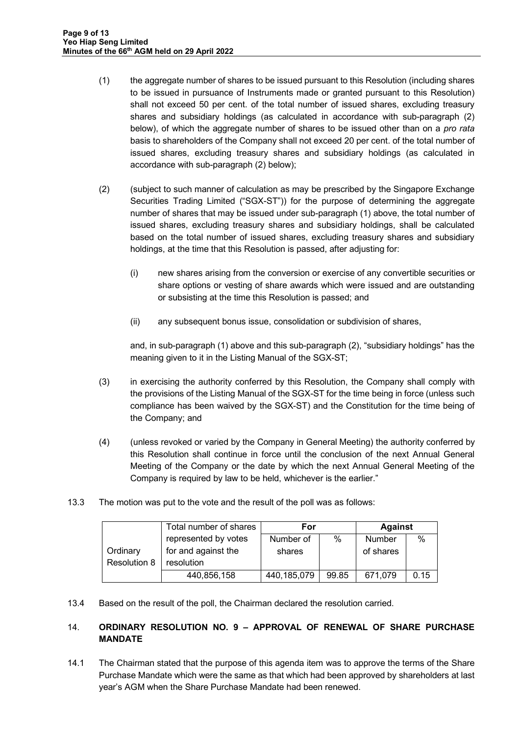- (1) the aggregate number of shares to be issued pursuant to this Resolution (including shares to be issued in pursuance of Instruments made or granted pursuant to this Resolution) shall not exceed 50 per cent. of the total number of issued shares, excluding treasury shares and subsidiary holdings (as calculated in accordance with sub-paragraph (2) below), of which the aggregate number of shares to be issued other than on a *pro rata* basis to shareholders of the Company shall not exceed 20 per cent. of the total number of issued shares, excluding treasury shares and subsidiary holdings (as calculated in accordance with sub-paragraph (2) below);
- (2) (subject to such manner of calculation as may be prescribed by the Singapore Exchange Securities Trading Limited ("SGX-ST")) for the purpose of determining the aggregate number of shares that may be issued under sub-paragraph (1) above, the total number of issued shares, excluding treasury shares and subsidiary holdings, shall be calculated based on the total number of issued shares, excluding treasury shares and subsidiary holdings, at the time that this Resolution is passed, after adjusting for:
	- (i) new shares arising from the conversion or exercise of any convertible securities or share options or vesting of share awards which were issued and are outstanding or subsisting at the time this Resolution is passed; and
	- (ii) any subsequent bonus issue, consolidation or subdivision of shares,

and, in sub-paragraph (1) above and this sub-paragraph (2), "subsidiary holdings" has the meaning given to it in the Listing Manual of the SGX-ST;

- (3) in exercising the authority conferred by this Resolution, the Company shall comply with the provisions of the Listing Manual of the SGX-ST for the time being in force (unless such compliance has been waived by the SGX-ST) and the Constitution for the time being of the Company; and
- (4) (unless revoked or varied by the Company in General Meeting) the authority conferred by this Resolution shall continue in force until the conclusion of the next Annual General Meeting of the Company or the date by which the next Annual General Meeting of the Company is required by law to be held, whichever is the earlier."
- 13.3 The motion was put to the vote and the result of the poll was as follows:

|              | Total number of shares | For           |       | <b>Against</b> |      |
|--------------|------------------------|---------------|-------|----------------|------|
|              | represented by votes   | Number of     | $\%$  | Number         | $\%$ |
| Ordinary     | for and against the    | shares        |       | of shares      |      |
| Resolution 8 | resolution             |               |       |                |      |
|              | 440,856,158            | 440, 185, 079 | 99.85 | 671,079        | 0.15 |

13.4 Based on the result of the poll, the Chairman declared the resolution carried.

# 14. **ORDINARY RESOLUTION NO. 9 – APPROVAL OF RENEWAL OF SHARE PURCHASE MANDATE**

14.1 The Chairman stated that the purpose of this agenda item was to approve the terms of the Share Purchase Mandate which were the same as that which had been approved by shareholders at last year's AGM when the Share Purchase Mandate had been renewed.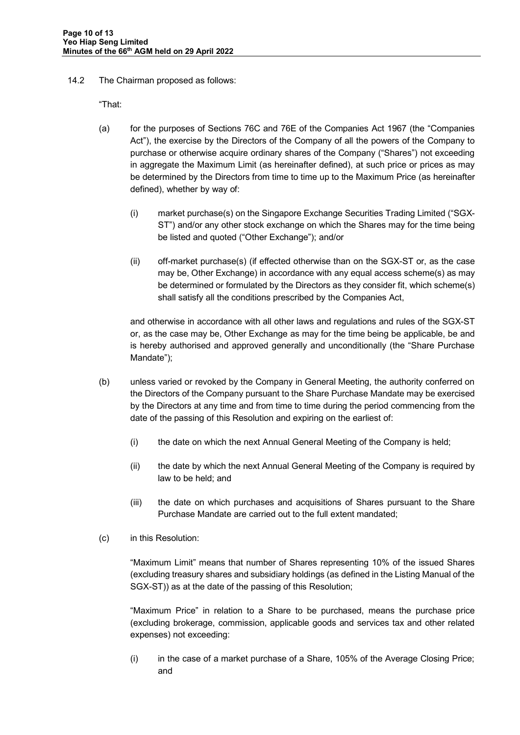14.2 The Chairman proposed as follows:

"That:

- (a) for the purposes of Sections 76C and 76E of the Companies Act 1967 (the "Companies Act"), the exercise by the Directors of the Company of all the powers of the Company to purchase or otherwise acquire ordinary shares of the Company ("Shares") not exceeding in aggregate the Maximum Limit (as hereinafter defined), at such price or prices as may be determined by the Directors from time to time up to the Maximum Price (as hereinafter defined), whether by way of:
	- (i) market purchase(s) on the Singapore Exchange Securities Trading Limited ("SGX-ST") and/or any other stock exchange on which the Shares may for the time being be listed and quoted ("Other Exchange"); and/or
	- (ii) off-market purchase(s) (if effected otherwise than on the SGX-ST or, as the case may be, Other Exchange) in accordance with any equal access scheme(s) as may be determined or formulated by the Directors as they consider fit, which scheme(s) shall satisfy all the conditions prescribed by the Companies Act,

and otherwise in accordance with all other laws and regulations and rules of the SGX-ST or, as the case may be, Other Exchange as may for the time being be applicable, be and is hereby authorised and approved generally and unconditionally (the "Share Purchase Mandate");

- (b) unless varied or revoked by the Company in General Meeting, the authority conferred on the Directors of the Company pursuant to the Share Purchase Mandate may be exercised by the Directors at any time and from time to time during the period commencing from the date of the passing of this Resolution and expiring on the earliest of:
	- (i) the date on which the next Annual General Meeting of the Company is held;
	- (ii) the date by which the next Annual General Meeting of the Company is required by law to be held; and
	- (iii) the date on which purchases and acquisitions of Shares pursuant to the Share Purchase Mandate are carried out to the full extent mandated;
- (c) in this Resolution:

"Maximum Limit" means that number of Shares representing 10% of the issued Shares (excluding treasury shares and subsidiary holdings (as defined in the Listing Manual of the SGX-ST)) as at the date of the passing of this Resolution;

"Maximum Price" in relation to a Share to be purchased, means the purchase price (excluding brokerage, commission, applicable goods and services tax and other related expenses) not exceeding:

 $(i)$  in the case of a market purchase of a Share, 105% of the Average Closing Price; and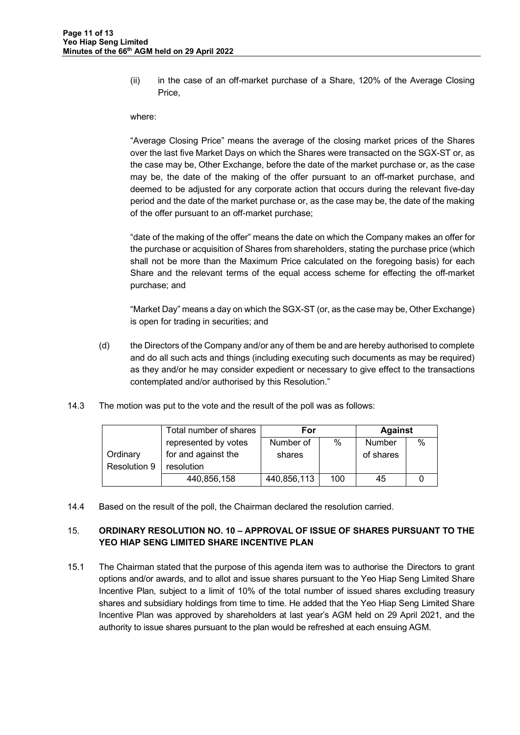(ii) in the case of an off-market purchase of a Share, 120% of the Average Closing Price,

#### where:

"Average Closing Price" means the average of the closing market prices of the Shares over the last five Market Days on which the Shares were transacted on the SGX-ST or, as the case may be, Other Exchange, before the date of the market purchase or, as the case may be, the date of the making of the offer pursuant to an off-market purchase, and deemed to be adjusted for any corporate action that occurs during the relevant five-day period and the date of the market purchase or, as the case may be, the date of the making of the offer pursuant to an off-market purchase;

"date of the making of the offer" means the date on which the Company makes an offer for the purchase or acquisition of Shares from shareholders, stating the purchase price (which shall not be more than the Maximum Price calculated on the foregoing basis) for each Share and the relevant terms of the equal access scheme for effecting the off-market purchase; and

"Market Day" means a day on which the SGX-ST (or, as the case may be, Other Exchange) is open for trading in securities; and

- (d) the Directors of the Company and/or any of them be and are hereby authorised to complete and do all such acts and things (including executing such documents as may be required) as they and/or he may consider expedient or necessary to give effect to the transactions contemplated and/or authorised by this Resolution."
- 14.3 The motion was put to the vote and the result of the poll was as follows:

|              | Total number of shares | For         |      | <b>Against</b> |      |
|--------------|------------------------|-------------|------|----------------|------|
|              | represented by votes   | Number of   | $\%$ | <b>Number</b>  | $\%$ |
| Ordinary     | for and against the    | shares      |      | of shares      |      |
| Resolution 9 | resolution             |             |      |                |      |
|              | 440,856,158            | 440,856,113 | 100  | 45             |      |

14.4 Based on the result of the poll, the Chairman declared the resolution carried.

### 15. **ORDINARY RESOLUTION NO. 10 – APPROVAL OF ISSUE OF SHARES PURSUANT TO THE YEO HIAP SENG LIMITED SHARE INCENTIVE PLAN**

15.1 The Chairman stated that the purpose of this agenda item was to authorise the Directors to grant options and/or awards, and to allot and issue shares pursuant to the Yeo Hiap Seng Limited Share Incentive Plan, subject to a limit of 10% of the total number of issued shares excluding treasury shares and subsidiary holdings from time to time. He added that the Yeo Hiap Seng Limited Share Incentive Plan was approved by shareholders at last year's AGM held on 29 April 2021, and the authority to issue shares pursuant to the plan would be refreshed at each ensuing AGM.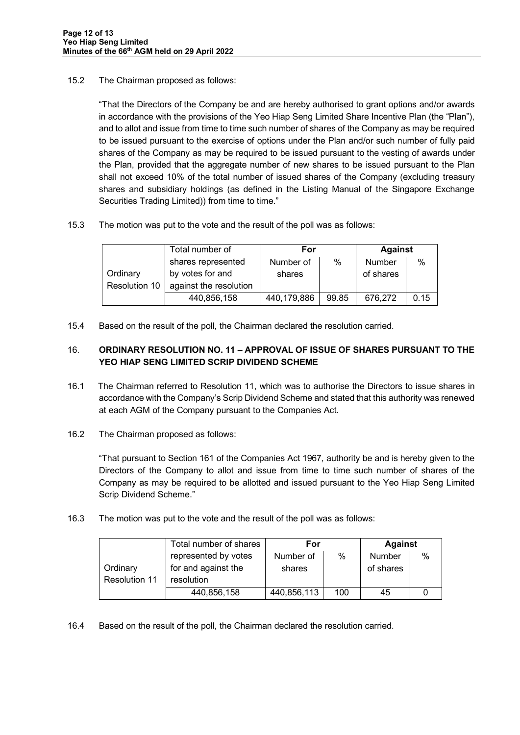### 15.2 The Chairman proposed as follows:

"That the Directors of the Company be and are hereby authorised to grant options and/or awards in accordance with the provisions of the Yeo Hiap Seng Limited Share Incentive Plan (the "Plan"), and to allot and issue from time to time such number of shares of the Company as may be required to be issued pursuant to the exercise of options under the Plan and/or such number of fully paid shares of the Company as may be required to be issued pursuant to the vesting of awards under the Plan, provided that the aggregate number of new shares to be issued pursuant to the Plan shall not exceed 10% of the total number of issued shares of the Company (excluding treasury shares and subsidiary holdings (as defined in the Listing Manual of the Singapore Exchange Securities Trading Limited)) from time to time."

15.3 The motion was put to the vote and the result of the poll was as follows:

|               | Total number of        | For         |       | <b>Against</b> |      |
|---------------|------------------------|-------------|-------|----------------|------|
|               | shares represented     | Number of   | $\%$  | Number         | %    |
| Ordinary      | by votes for and       | shares      |       | of shares      |      |
| Resolution 10 | against the resolution |             |       |                |      |
|               | 440,856,158            | 440,179,886 | 99.85 | 676,272        | 0.15 |

15.4 Based on the result of the poll, the Chairman declared the resolution carried.

# 16. **ORDINARY RESOLUTION NO. 11 – APPROVAL OF ISSUE OF SHARES PURSUANT TO THE YEO HIAP SENG LIMITED SCRIP DIVIDEND SCHEME**

- 16.1 The Chairman referred to Resolution 11, which was to authorise the Directors to issue shares in accordance with the Company's Scrip Dividend Scheme and stated that this authority was renewed at each AGM of the Company pursuant to the Companies Act.
- 16.2 The Chairman proposed as follows:

"That pursuant to Section 161 of the Companies Act 1967, authority be and is hereby given to the Directors of the Company to allot and issue from time to time such number of shares of the Company as may be required to be allotted and issued pursuant to the Yeo Hiap Seng Limited Scrip Dividend Scheme."

16.3 The motion was put to the vote and the result of the poll was as follows:

|               | Total number of shares | For         |     | <b>Against</b> |      |
|---------------|------------------------|-------------|-----|----------------|------|
|               | represented by votes   | Number of   | %   | <b>Number</b>  | $\%$ |
| Ordinary      | for and against the    | shares      |     | of shares      |      |
| Resolution 11 | resolution             |             |     |                |      |
|               | 440,856,158            | 440,856,113 | 100 | 45             |      |

16.4 Based on the result of the poll, the Chairman declared the resolution carried.